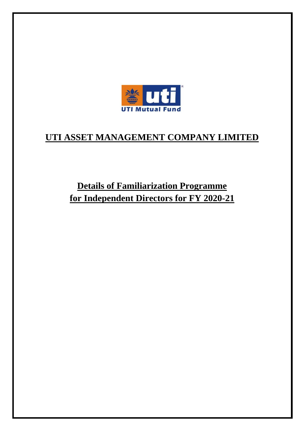

## **UTI ASSET MANAGEMENT COMPANY LIMITED**

**Details of Familiarization Programme for Independent Directors for FY 2020-21**